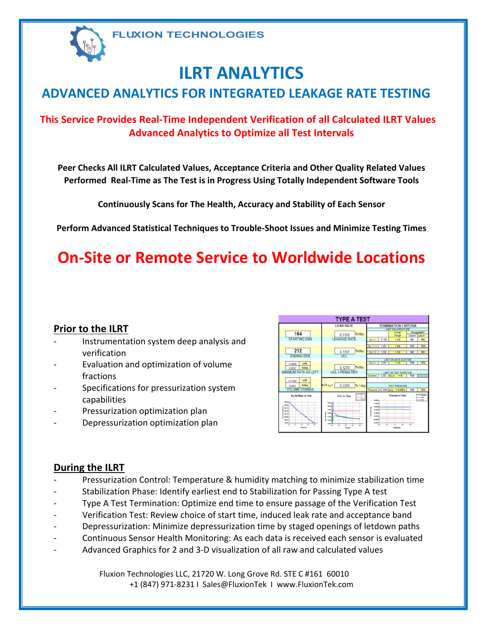

# **ILRT ANALYTICS**

## **ADVANCED ANALYTICS FOR INTEGRATED LEAKAGE RATE TESTING**

### **This Service Provides Real‐Time Independent Verification of all Calculated ILRT Values Advanced Analytics to Optimize all Test Intervals**

**Peer Checks All ILRT Calculated Values, Acceptance Criteria and Other Quality Related Values Performed Real‐Time as The Test is in Progress Using Totally Independent Software Tools**

**Continuously Scans for The Health, Accuracy and Stability of Each Sensor**

**Perform Advanced Statistical Techniques to Trouble‐Shoot Issues and Minimize Testing Times**

## **On‐Site or Remote Service to Worldwide Locations**

### **Prior to the ILRT**

- ‐ Instrumentation system deep analysis and verification
- ‐ Evaluation and optimization of volume fractions
- Specifications for pressurization system capabilities
- ‐ Pressurization optimization plan
- ‐ Depressurization optimization plan



### **During the ILRT**

- Pressurization Control: Temperature & humidity matching to minimize stabilization time
- ‐ Stabilization Phase: Identify earliest end to Stabilization for Passing Type A test
- ‐ Type A Test Termination: Optimize end time to ensure passage of the Verification Test
- ‐ Verification Test: Review choice of start time, induced leak rate and acceptance band
- Depressurization: Minimize depressurization time by staged openings of letdown paths
- ‐ Continuous Sensor Health Monitoring: As each data is received each sensor is evaluated
- ‐ Advanced Graphics for 2 and 3‐D visualization of all raw and calculated values

Fluxion Technologies LLC, 21720 W. Long Grove Rd. STE C #161 60010 +1 (847) 971‐8231 I Sales@FluxionTek I www.FluxionTek.com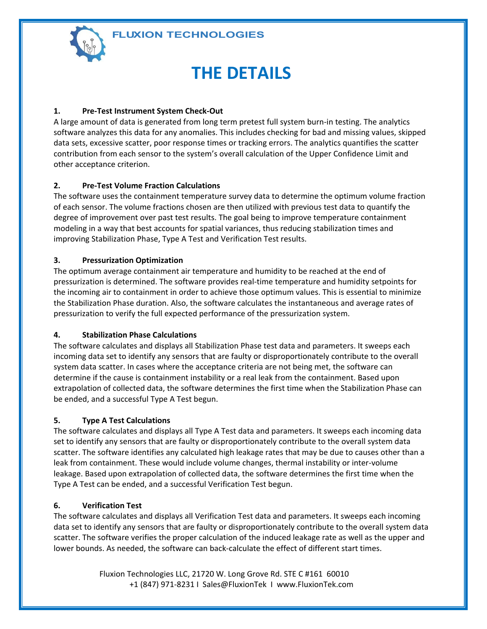**FLUXION TECHNOLOGIES** 



## **THE DETAILS**

#### **1. Pre‐Test Instrument System Check‐Out**

A large amount of data is generated from long term pretest full system burn‐in testing. The analytics software analyzes this data for any anomalies. This includes checking for bad and missing values, skipped data sets, excessive scatter, poor response times or tracking errors. The analytics quantifies the scatter contribution from each sensor to the system's overall calculation of the Upper Confidence Limit and other acceptance criterion.

#### **2. Pre‐Test Volume Fraction Calculations**

The software uses the containment temperature survey data to determine the optimum volume fraction of each sensor. The volume fractions chosen are then utilized with previous test data to quantify the degree of improvement over past test results. The goal being to improve temperature containment modeling in a way that best accounts for spatial variances, thus reducing stabilization times and improving Stabilization Phase, Type A Test and Verification Test results.

#### **3. Pressurization Optimization**

The optimum average containment air temperature and humidity to be reached at the end of pressurization is determined. The software provides real‐time temperature and humidity setpoints for the incoming air to containment in order to achieve those optimum values. This is essential to minimize the Stabilization Phase duration. Also, the software calculates the instantaneous and average rates of pressurization to verify the full expected performance of the pressurization system.

#### **4. Stabilization Phase Calculations**

The software calculates and displays all Stabilization Phase test data and parameters. It sweeps each incoming data set to identify any sensors that are faulty or disproportionately contribute to the overall system data scatter. In cases where the acceptance criteria are not being met, the software can determine if the cause is containment instability or a real leak from the containment. Based upon extrapolation of collected data, the software determines the first time when the Stabilization Phase can be ended, and a successful Type A Test begun.

#### **5. Type A Test Calculations**

The software calculates and displays all Type A Test data and parameters. It sweeps each incoming data set to identify any sensors that are faulty or disproportionately contribute to the overall system data scatter. The software identifies any calculated high leakage rates that may be due to causes other than a leak from containment. These would include volume changes, thermal instability or inter‐volume leakage. Based upon extrapolation of collected data, the software determines the first time when the Type A Test can be ended, and a successful Verification Test begun.

#### **6. Verification Test**

The software calculates and displays all Verification Test data and parameters. It sweeps each incoming data set to identify any sensors that are faulty or disproportionately contribute to the overall system data scatter. The software verifies the proper calculation of the induced leakage rate as well as the upper and lower bounds. As needed, the software can back‐calculate the effect of different start times.

> Fluxion Technologies LLC, 21720 W. Long Grove Rd. STE C #161 60010 +1 (847) 971‐8231 I Sales@FluxionTek I www.FluxionTek.com